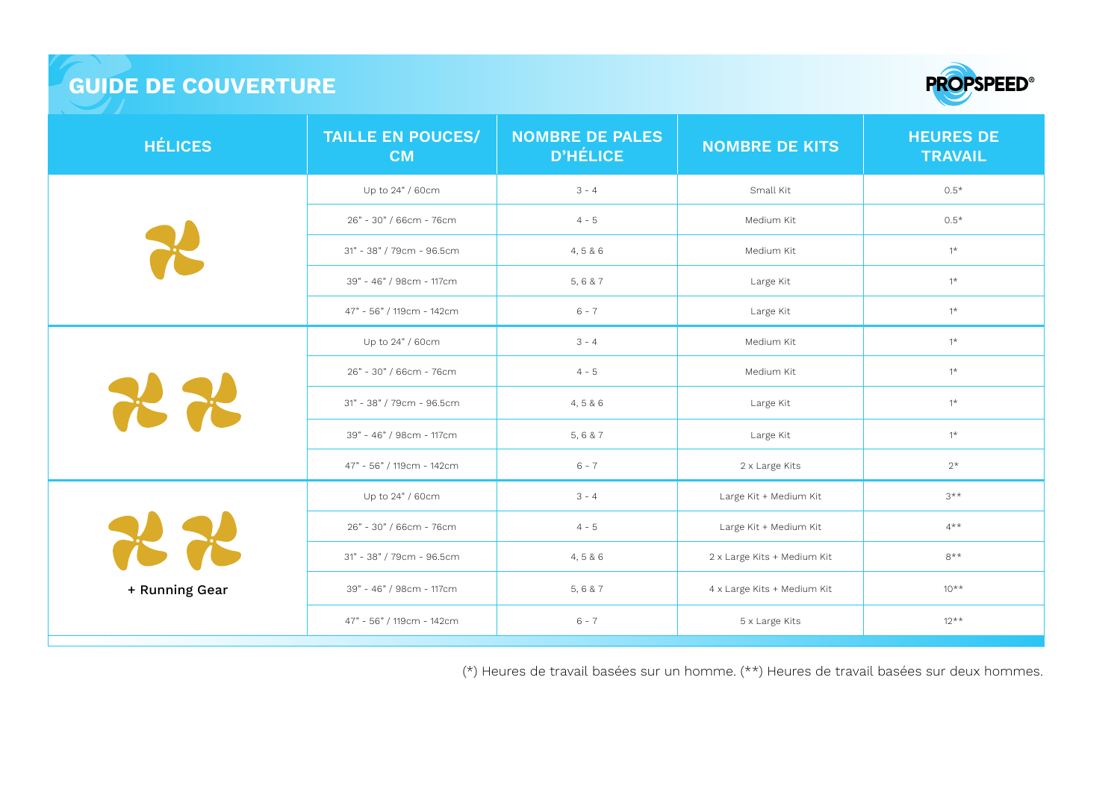## **GUIDE DE COUVERTURE**



| <b>HÉLICES</b> | <b>TAILLE EN POUCES/</b><br><b>CM</b> | <b>NOMBRE DE PALES</b><br><b>D'HÉLICE</b> | <b>NOMBRE DE KITS</b>       | <b>HEURES DE</b><br><b>TRAVAIL</b> |
|----------------|---------------------------------------|-------------------------------------------|-----------------------------|------------------------------------|
|                | Up to 24" / 60cm                      | $3 - 4$                                   | Small Kit                   | $0.5*$                             |
|                | 26" - 30" / 66cm - 76cm               | $4 - 5$                                   | Medium Kit                  | $0.5*$                             |
|                | 31" - 38" / 79cm - 96.5cm             | 4,5 & 6                                   | Medium Kit                  | $1^{\star}$                        |
|                | 39" - 46" / 98cm - 117cm              | 5,6 & 7                                   | Large Kit                   | $1^*$                              |
|                | 47" - 56" / 119cm - 142cm             | $6 - 7$                                   | Large Kit                   | $1^{\star}$                        |
| THE THE        | Up to 24" / 60cm                      | $3 - 4$                                   | Medium Kit                  | $1^*$                              |
|                | 26" - 30" / 66cm - 76cm               | $4 - 5$                                   | Medium Kit                  | $1^*$                              |
|                | 31" - 38" / 79cm - 96.5cm             | 4,5 & 6                                   | Large Kit                   | $1^{\star}$                        |
|                | 39" - 46" / 98cm - 117cm              | 5,6 & 7                                   | Large Kit                   | $1^{\star}$                        |
|                | 47" - 56" / 119cm - 142cm             | $6 - 7$                                   | 2 x Large Kits              | $2^{\star}$                        |
| + Running Gear | Up to 24" / 60cm                      | $3 - 4$                                   | Large Kit + Medium Kit      | $3***$                             |
|                | 26" - 30" / 66cm - 76cm               | $4 - 5$                                   | Large Kit + Medium Kit      | $4***$                             |
|                | 31" - 38" / 79cm - 96.5cm             | 4,5 & 6                                   | 2 x Large Kits + Medium Kit | $8**$                              |
|                | 39" - 46" / 98cm - 117cm              | 5,6 & 7                                   | 4 x Large Kits + Medium Kit | $10^{**}$                          |
|                | 47" - 56" / 119cm - 142cm             | $6 - 7$                                   | 5 x Large Kits              | $12***$                            |

(\*) Heures de travail basées sur un homme. (\*\*) Heures de travail basées sur deux hommes.